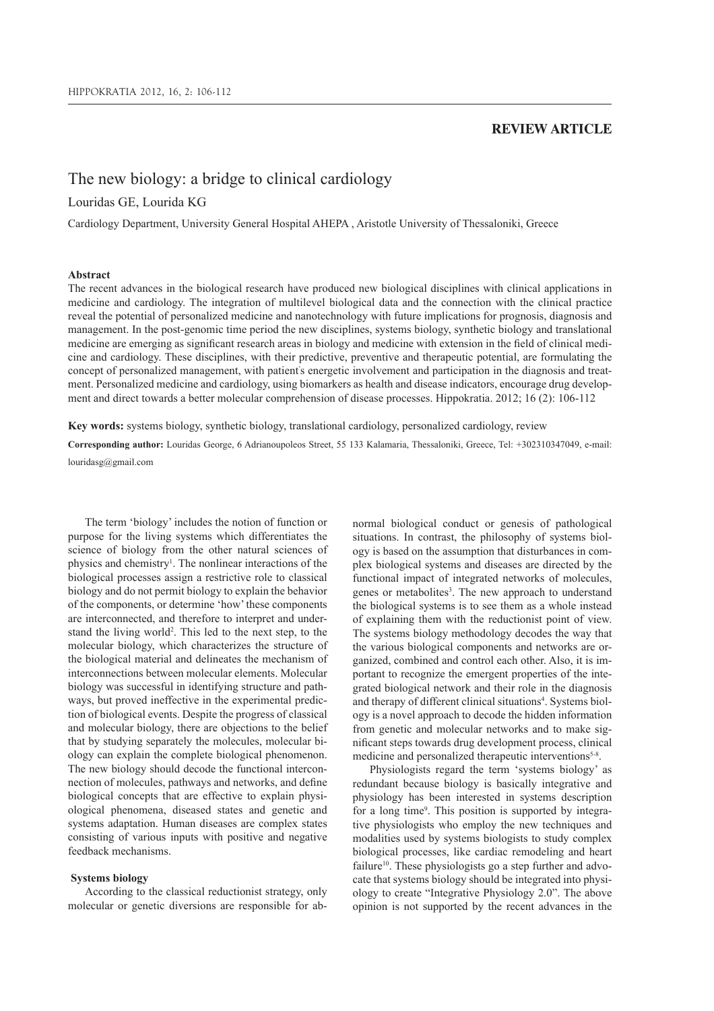# **REVIEW ARTICLE**

# The new biology: a bridge to clinical cardiology

# Louridas GE, Lourida KG

Cardiology Department, University General Hospital AHEPA , Aristotle University of Thessaloniki, Greece

# **Abstract**

The recent advances in the biological research have produced new biological disciplines with clinical applications in medicine and cardiology. The integration of multilevel biological data and the connection with the clinical practice reveal the potential of personalized medicine and nanotechnology with future implications for prognosis, diagnosis and management. In the post-genomic time period the new disciplines, systems biology, synthetic biology and translational medicine are emerging as significant research areas in biology and medicine with extension in the field of clinical medicine and cardiology. These disciplines, with their predictive, preventive and therapeutic potential, are formulating the concept of personalized management, with patient' s energetic involvement and participation in the diagnosis and treatment. Personalized medicine and cardiology, using biomarkers as health and disease indicators, encourage drug development and direct towards a better molecular comprehension of disease processes. Hippokratia. 2012; 16 (2): 106-112

**Key words:** systems biology, synthetic biology, translational cardiology, personalized cardiology, review

**Corresponding author:** Louridas George, 6 Adrianoupoleos Street, 55 133 Kalamaria, Thessaloniki, Greece, Tel: +302310347049, e-mail: louridasg@gmail.com

The term 'biology' includes the notion of function or purpose for the living systems which differentiates the science of biology from the other natural sciences of physics and chemistry<sup>1</sup>. The nonlinear interactions of the biological processes assign a restrictive role to classical biology and do not permit biology to explain the behavior of the components, or determine 'how' these components are interconnected, and therefore to interpret and understand the living world<sup>2</sup>. This led to the next step, to the molecular biology, which characterizes the structure of the biological material and delineates the mechanism of interconnections between molecular elements. Molecular biology was successful in identifying structure and pathways, but proved ineffective in the experimental prediction of biological events. Despite the progress of classical and molecular biology, there are objections to the belief that by studying separately the molecules, molecular biology can explain the complete biological phenomenon. The new biology should decode the functional interconnection of molecules, pathways and networks, and define biological concepts that are effective to explain physiological phenomena, diseased states and genetic and systems adaptation. Human diseases are complex states consisting of various inputs with positive and negative feedback mechanisms.

#### **Systems biology**

According to the classical reductionist strategy, only molecular or genetic diversions are responsible for abnormal biological conduct or genesis of pathological situations. In contrast, the philosophy of systems biology is based on the assumption that disturbances in complex biological systems and diseases are directed by the functional impact of integrated networks of molecules, genes or metabolites<sup>3</sup>. The new approach to understand the biological systems is to see them as a whole instead of explaining them with the reductionist point of view. The systems biology methodology decodes the way that the various biological components and networks are organized, combined and control each other. Also, it is important to recognize the emergent properties of the integrated biological network and their role in the diagnosis and therapy of different clinical situations<sup>4</sup>. Systems biology is a novel approach to decode the hidden information from genetic and molecular networks and to make significant steps towards drug development process, clinical medicine and personalized therapeutic interventions<sup>5-8</sup>.

Physiologists regard the term 'systems biology' as redundant because biology is basically integrative and physiology has been interested in systems description for a long time<sup>9</sup>. This position is supported by integrative physiologists who employ the new techniques and modalities used by systems biologists to study complex biological processes, like cardiac remodeling and heart failure<sup>10</sup>. These physiologists go a step further and advocate that systems biology should be integrated into physiology to create "Integrative Physiology 2.0". The above opinion is not supported by the recent advances in the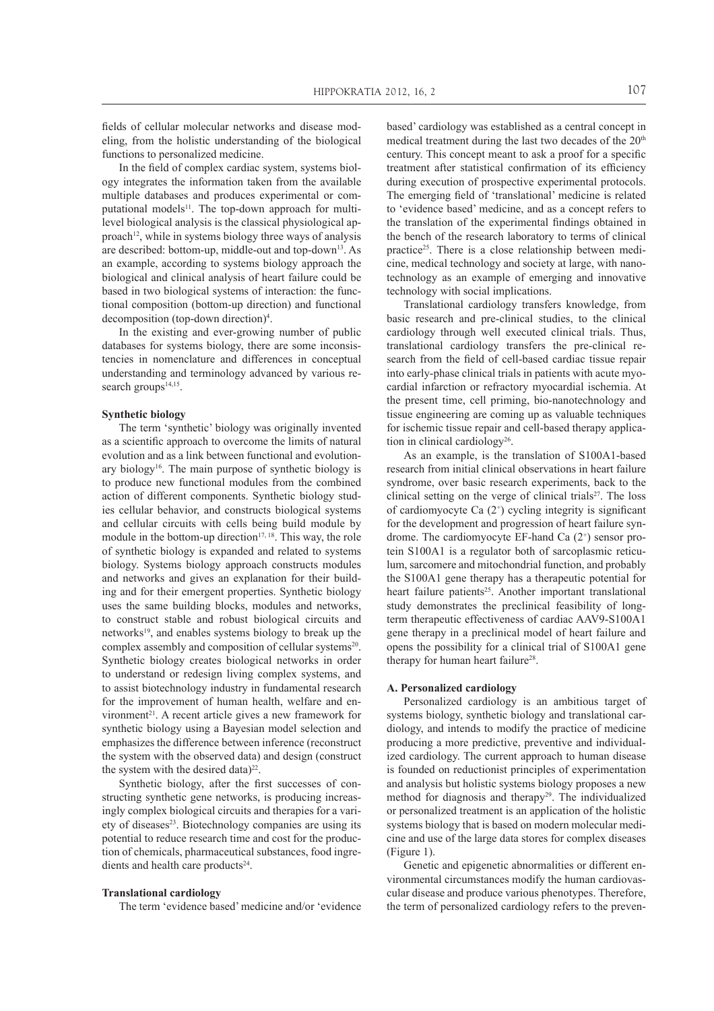fields of cellular molecular networks and disease modeling, from the holistic understanding of the biological functions to personalized medicine.

In the field of complex cardiac system, systems biology integrates the information taken from the available multiple databases and produces experimental or computational models $^{11}$ . The top-down approach for multilevel biological analysis is the classical physiological approach<sup>12</sup>, while in systems biology three ways of analysis are described: bottom-up, middle-out and top-down<sup>13</sup>. As an example, according to systems biology approach the biological and clinical analysis of heart failure could be based in two biological systems of interaction: the functional composition (bottom-up direction) and functional decomposition (top-down direction)<sup>4</sup> .

In the existing and ever-growing number of public databases for systems biology, there are some inconsistencies in nomenclature and differences in conceptual understanding and terminology advanced by various research groups<sup>14,15</sup>.

# **Synthetic biology**

The term 'synthetic' biology was originally invented as a scientific approach to overcome the limits of natural evolution and as a link between functional and evolutionary biology<sup>16</sup>. The main purpose of synthetic biology is to produce new functional modules from the combined action of different components. Synthetic biology studies cellular behavior, and constructs biological systems and cellular circuits with cells being build module by module in the bottom-up direction $17, 18$ . This way, the role of synthetic biology is expanded and related to systems biology. Systems biology approach constructs modules and networks and gives an explanation for their building and for their emergent properties. Synthetic biology uses the same building blocks, modules and networks, to construct stable and robust biological circuits and networks<sup>19</sup>, and enables systems biology to break up the complex assembly and composition of cellular systems<sup>20</sup>. Synthetic biology creates biological networks in order to understand or redesign living complex systems, and to assist biotechnology industry in fundamental research for the improvement of human health, welfare and environment<sup>21</sup>. A recent article gives a new framework for synthetic biology using a Bayesian model selection and emphasizes the difference between inference (reconstruct the system with the observed data) and design (construct the system with the desired data) $22$ .

Synthetic biology, after the first successes of constructing synthetic gene networks, is producing increasingly complex biological circuits and therapies for a variety of diseases<sup>23</sup>. Biotechnology companies are using its potential to reduce research time and cost for the production of chemicals, pharmaceutical substances, food ingredients and health care products<sup>24</sup>.

#### **Translational cardiology**

The term 'evidence based' medicine and/or 'evidence

based' cardiology was established as a central concept in medical treatment during the last two decades of the  $20<sup>th</sup>$ century. This concept meant to ask a proof for a specific treatment after statistical confirmation of its efficiency during execution of prospective experimental protocols. The emerging field of 'translational' medicine is related to 'evidence based' medicine, and as a concept refers to the translation of the experimental findings obtained in the bench of the research laboratory to terms of clinical practice<sup>25</sup>. There is a close relationship between medicine, medical technology and society at large, with nanotechnology as an example of emerging and innovative technology with social implications.

Translational cardiology transfers knowledge, from basic research and pre-clinical studies, to the clinical cardiology through well executed clinical trials. Thus, translational cardiology transfers the pre-clinical research from the field of cell-based cardiac tissue repair into early-phase clinical trials in patients with acute myocardial infarction or refractory myocardial ischemia. At the present time, cell priming, bio-nanotechnology and tissue engineering are coming up as valuable techniques for ischemic tissue repair and cell-based therapy application in clinical cardiology<sup>26</sup>.

As an example, is the translation of S100A1-based research from initial clinical observations in heart failure syndrome, over basic research experiments, back to the clinical setting on the verge of clinical trials $2^7$ . The loss of cardiomyocyte Ca (2<sup>+</sup> ) cycling integrity is significant for the development and progression of heart failure syndrome. The cardiomyocyte EF-hand Ca (2<sup>+</sup> ) sensor protein S100A1 is a regulator both of sarcoplasmic reticulum, sarcomere and mitochondrial function, and probably the S100A1 gene therapy has a therapeutic potential for heart failure patients<sup>25</sup>. Another important translational study demonstrates the preclinical feasibility of longterm therapeutic effectiveness of cardiac AAV9-S100A1 gene therapy in a preclinical model of heart failure and opens the possibility for a clinical trial of S100A1 gene therapy for human heart failure<sup>28</sup>.

## **A. Personalized cardiology**

Personalized cardiology is an ambitious target of systems biology, synthetic biology and translational cardiology, and intends to modify the practice of medicine producing a more predictive, preventive and individualized cardiology. The current approach to human disease is founded on reductionist principles of experimentation and analysis but holistic systems biology proposes a new method for diagnosis and therapy<sup>29</sup>. The individualized or personalized treatment is an application of the holistic systems biology that is based on modern molecular medicine and use of the large data stores for complex diseases (Figure 1).

Genetic and epigenetic abnormalities or different environmental circumstances modify the human cardiovascular disease and produce various phenotypes. Therefore, the term of personalized cardiology refers to the preven-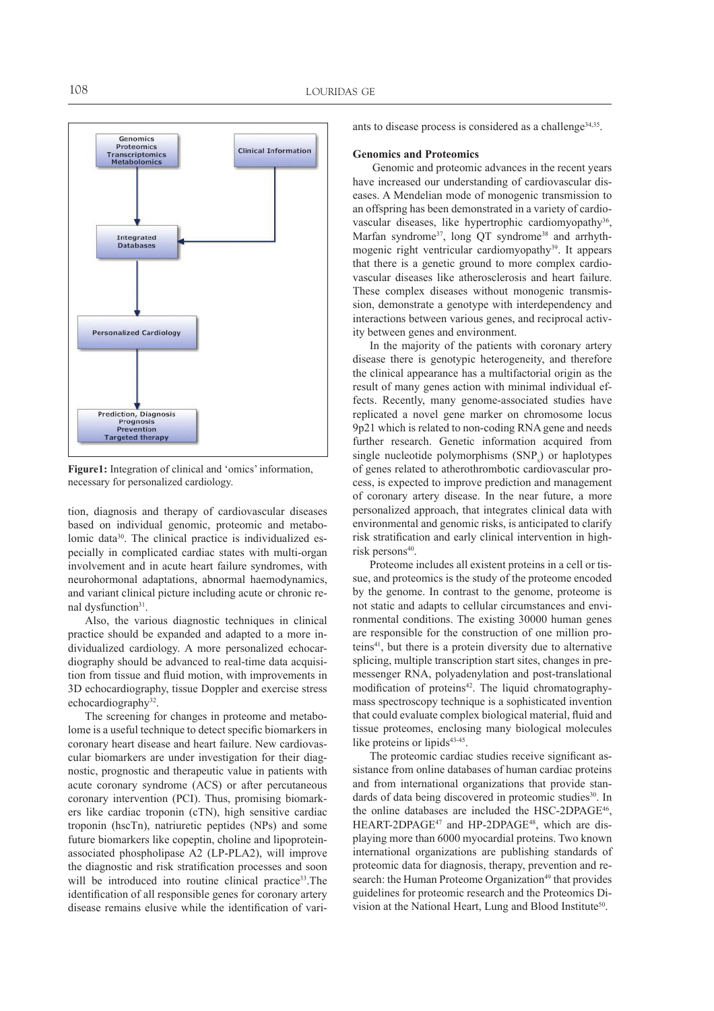

**Figure1:** Integration of clinical and 'omics' information, necessary for personalized cardiology.

tion, diagnosis and therapy of cardiovascular diseases based on individual genomic, proteomic and metabolomic data30. The clinical practice is individualized especially in complicated cardiac states with multi-organ involvement and in acute heart failure syndromes, with neurohormonal adaptations, abnormal haemodynamics, and variant clinical picture including acute or chronic renal dysfunction<sup>31</sup>.

Also, the various diagnostic techniques in clinical practice should be expanded and adapted to a more individualized cardiology. A more personalized echocardiography should be advanced to real-time data acquisition from tissue and fluid motion, with improvements in 3D echocardiography, tissue Doppler and exercise stress echocardiography<sup>32</sup>.

The screening for changes in proteome and metabolome is a useful technique to detect specific biomarkers in coronary heart disease and heart failure. New cardiovascular biomarkers are under investigation for their diagnostic, prognostic and therapeutic value in patients with acute coronary syndrome (ACS) or after percutaneous coronary intervention (PCI). Thus, promising biomarkers like cardiac troponin (cTN), high sensitive cardiac troponin (hscTn), natriuretic peptides (NPs) and some future biomarkers like copeptin, choline and lipoproteinassociated phospholipase A2 (LP-PLA2), will improve the diagnostic and risk stratification processes and soon will be introduced into routine clinical practice<sup>33</sup>. The identification of all responsible genes for coronary artery disease remains elusive while the identification of variants to disease process is considered as a challenge<sup>34,35</sup>.

## **Genomics and Proteomics**

 Genomic and proteomic advances in the recent years have increased our understanding of cardiovascular diseases. A Mendelian mode of monogenic transmission to an offspring has been demonstrated in a variety of cardiovascular diseases, like hypertrophic cardiomyopathy<sup>36</sup>, Marfan syndrome<sup>37</sup>, long QT syndrome<sup>38</sup> and arrhythmogenic right ventricular cardiomyopathy<sup>39</sup>. It appears that there is a genetic ground to more complex cardiovascular diseases like atherosclerosis and heart failure. These complex diseases without monogenic transmission, demonstrate a genotype with interdependency and interactions between various genes, and reciprocal activity between genes and environment.

In the majority of the patients with coronary artery disease there is genotypic heterogeneity, and therefore the clinical appearance has a multifactorial origin as the result of many genes action with minimal individual effects. Recently, many genome-associated studies have replicated a novel gene marker on chromosome locus 9p21 which is related to non-coding RNA gene and needs further research. Genetic information acquired from single nucleotide polymorphisms  $(SNP<sub>s</sub>)$  or haplotypes of genes related to atherothrombotic cardiovascular process, is expected to improve prediction and management of coronary artery disease. In the near future, a more personalized approach, that integrates clinical data with environmental and genomic risks, is anticipated to clarify risk stratification and early clinical intervention in highrisk persons<sup>40</sup>.

Proteome includes all existent proteins in a cell or tissue, and proteomics is the study of the proteome encoded by the genome. In contrast to the genome, proteome is not static and adapts to cellular circumstances and environmental conditions. The existing 30000 human genes are responsible for the construction of one million proteins<sup>41</sup>, but there is a protein diversity due to alternative splicing, multiple transcription start sites, changes in premessenger RNA, polyadenylation and post-translational modification of proteins<sup>42</sup>. The liquid chromatographymass spectroscopy technique is a sophisticated invention that could evaluate complex biological material, fluid and tissue proteomes, enclosing many biological molecules like proteins or lipids<sup>43-45</sup>.

The proteomic cardiac studies receive significant assistance from online databases of human cardiac proteins and from international organizations that provide standards of data being discovered in proteomic studies<sup>30</sup>. In the online databases are included the HSC-2DPAGE<sup>46</sup> , HEART-2DPAGE<sup>47</sup> and HP-2DPAGE<sup>48</sup>, which are displaying more than 6000 myocardial proteins. Two known international organizations are publishing standards of proteomic data for diagnosis, therapy, prevention and research: the Human Proteome Organization<sup>49</sup> that provides guidelines for proteomic research and the Proteomics Division at the National Heart, Lung and Blood Institute<sup>50</sup>.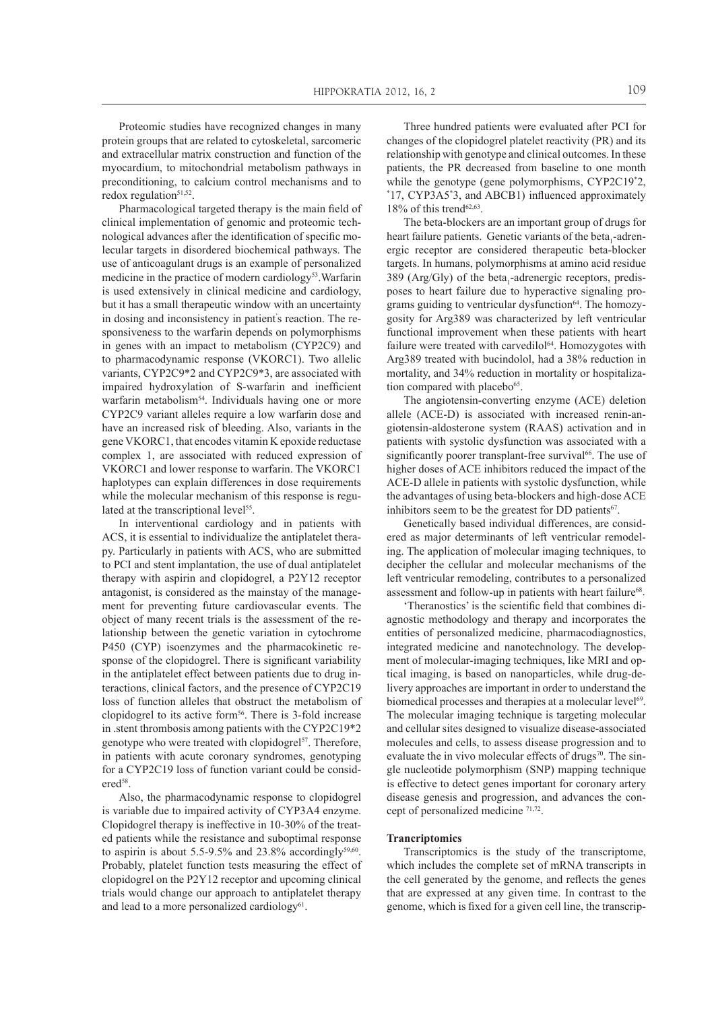Proteomic studies have recognized changes in many protein groups that are related to cytoskeletal, sarcomeric and extracellular matrix construction and function of the myocardium, to mitochondrial metabolism pathways in preconditioning, to calcium control mechanisms and to redox regulation<sup>51,52</sup>.

Pharmacological targeted therapy is the main field of clinical implementation of genomic and proteomic technological advances after the identification of specific molecular targets in disordered biochemical pathways. The use of anticoagulant drugs is an example of personalized medicine in the practice of modern cardiology<sup>53</sup>. Warfarin is used extensively in clinical medicine and cardiology, but it has a small therapeutic window with an uncertainty in dosing and inconsistency in patient' s reaction. The responsiveness to the warfarin depends on polymorphisms in genes with an impact to metabolism (CYP2C9) and to pharmacodynamic response (VKORC1). Two allelic variants, CYP2C9\*2 and CYP2C9\*3, are associated with impaired hydroxylation of S-warfarin and inefficient warfarin metabolism<sup>54</sup>. Individuals having one or more CYP2C9 variant alleles require a low warfarin dose and have an increased risk of bleeding. Also, variants in the gene VKORC1, that encodes vitamin K epoxide reductase complex 1, are associated with reduced expression of VKORC1 and lower response to warfarin. The VKORC1 haplotypes can explain differences in dose requirements while the molecular mechanism of this response is regulated at the transcriptional level<sup>55</sup>.

In interventional cardiology and in patients with ACS, it is essential to individualize the antiplatelet therapy. Particularly in patients with ACS, who are submitted to PCI and stent implantation, the use of dual antiplatelet therapy with aspirin and clopidogrel, a P2Y12 receptor antagonist, is considered as the mainstay of the management for preventing future cardiovascular events. The object of many recent trials is the assessment of the relationship between the genetic variation in cytochrome P450 (CYP) isoenzymes and the pharmacokinetic response of the clopidogrel. There is significant variability in the antiplatelet effect between patients due to drug interactions, clinical factors, and the presence of CYP2C19 loss of function alleles that obstruct the metabolism of clopidogrel to its active form<sup>56</sup>. There is 3-fold increase in .stent thrombosis among patients with the CYP2C19\*2 genotype who were treated with clopidogrel<sup>57</sup>. Therefore, in patients with acute coronary syndromes, genotyping for a CYP2C19 loss of function variant could be considered<sup>58</sup>.

Also, the pharmacodynamic response to clopidogrel is variable due to impaired activity of CYP3A4 enzyme. Clopidogrel therapy is ineffective in 10-30% of the treated patients while the resistance and suboptimal response to aspirin is about  $5.5\n-9.5\%$  and  $23.8\%$  accordingly<sup>59,60</sup>. Probably, platelet function tests measuring the effect of clopidogrel on the P2Y12 receptor and upcoming clinical trials would change our approach to antiplatelet therapy and lead to a more personalized cardiology<sup>61</sup>.

Three hundred patients were evaluated after PCI for changes of the clopidogrel platelet reactivity (PR) and its relationship with genotype and clinical outcomes. In these patients, the PR decreased from baseline to one month while the genotype (gene polymorphisms, CYP2C19\*2, \*17, CYP3A5\*3, and ABCB1) influenced approximately  $18\%$  of this trend<sup>62,63</sup>.

The beta-blockers are an important group of drugs for heart failure patients. Genetic variants of the beta<sub>1</sub>-adrenergic receptor are considered therapeutic beta-blocker targets. In humans, polymorphisms at amino acid residue 389 (Arg/Gly) of the beta<sub>1</sub>-adrenergic receptors, predisposes to heart failure due to hyperactive signaling programs guiding to ventricular dysfunction<sup>64</sup>. The homozygosity for Arg389 was characterized by left ventricular functional improvement when these patients with heart failure were treated with carvedilol<sup>64</sup>. Homozygotes with Arg389 treated with bucindolol, had a 38% reduction in mortality, and 34% reduction in mortality or hospitalization compared with placebo<sup>65</sup>.

The angiotensin-converting enzyme (ACE) deletion allele (ACE-D) is associated with increased renin-angiotensin-aldosterone system (RAAS) activation and in patients with systolic dysfunction was associated with a significantly poorer transplant-free survival<sup>66</sup>. The use of higher doses of ACE inhibitors reduced the impact of the ACE-D allele in patients with systolic dysfunction, while the advantages of using beta-blockers and high-dose ACE inhibitors seem to be the greatest for DD patients<sup>67</sup>.

Genetically based individual differences, are considered as major determinants of left ventricular remodeling. The application of molecular imaging techniques, to decipher the cellular and molecular mechanisms of the left ventricular remodeling, contributes to a personalized assessment and follow-up in patients with heart failure<sup>68</sup>.

'Theranostics' is the scientific field that combines diagnostic methodology and therapy and incorporates the entities of personalized medicine, pharmacodiagnostics, integrated medicine and nanotechnology. The development of molecular-imaging techniques, like MRI and optical imaging, is based on nanoparticles, while drug-delivery approaches are important in order to understand the biomedical processes and therapies at a molecular level<sup>69</sup>. The molecular imaging technique is targeting molecular and cellular sites designed to visualize disease-associated molecules and cells, to assess disease progression and to evaluate the in vivo molecular effects of drugs<sup>70</sup>. The single nucleotide polymorphism (SNP) mapping technique is effective to detect genes important for coronary artery disease genesis and progression, and advances the concept of personalized medicine 71,72 .

#### **Trancriptomics**

Transcriptomics is the study of the transcriptome, which includes the complete set of mRNA transcripts in the cell generated by the genome, and reflects the genes that are expressed at any given time. In contrast to the genome, which is fixed for a given cell line, the transcrip-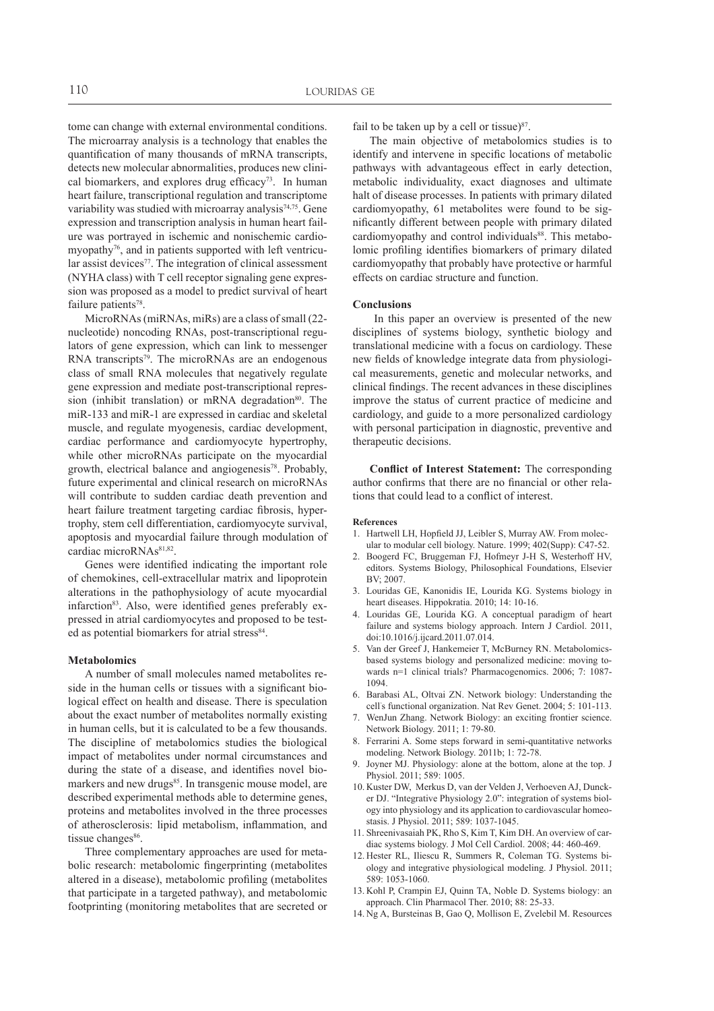tome can change with external environmental conditions. The microarray analysis is a technology that enables the quantification of many thousands of mRNA transcripts, detects new molecular abnormalities, produces new clinical biomarkers, and explores drug efficacy<sup>73</sup>. In human heart failure, transcriptional regulation and transcriptome variability was studied with microarray analysis<sup>74,75</sup>. Gene expression and transcription analysis in human heart failure was portrayed in ischemic and nonischemic cardiomyopathy<sup>76</sup>, and in patients supported with left ventricular assist devices<sup>77</sup>. The integration of clinical assessment (NYHA class) with T cell receptor signaling gene expression was proposed as a model to predict survival of heart failure patients<sup>78</sup>.

MicroRNAs (miRNAs, miRs) are a class of small (22 nucleotide) noncoding RNAs, post-transcriptional regulators of gene expression, which can link to messenger RNA transcripts<sup>79</sup>. The microRNAs are an endogenous class of small RNA molecules that negatively regulate gene expression and mediate post-transcriptional repression (inhibit translation) or mRNA degradation $80$ . The miR-133 and miR-1 are expressed in cardiac and skeletal muscle, and regulate myogenesis, cardiac development, cardiac performance and cardiomyocyte hypertrophy, while other microRNAs participate on the myocardial growth, electrical balance and angiogenesis<sup>78</sup>. Probably, future experimental and clinical research on microRNAs will contribute to sudden cardiac death prevention and heart failure treatment targeting cardiac fibrosis, hypertrophy, stem cell differentiation, cardiomyocyte survival, apoptosis and myocardial failure through modulation of cardiac microRNAs<sup>81,82</sup>.

Genes were identified indicating the important role of chemokines, cell-extracellular matrix and lipoprotein alterations in the pathophysiology of acute myocardial infarction<sup>83</sup>. Also, were identified genes preferably expressed in atrial cardiomyocytes and proposed to be tested as potential biomarkers for atrial stress<sup>84</sup>.

## **Metabolomics**

A number of small molecules named metabolites reside in the human cells or tissues with a significant biological effect on health and disease. There is speculation about the exact number of metabolites normally existing in human cells, but it is calculated to be a few thousands. The discipline of metabolomics studies the biological impact of metabolites under normal circumstances and during the state of a disease, and identifies novel biomarkers and new drugs<sup>85</sup>. In transgenic mouse model, are described experimental methods able to determine genes, proteins and metabolites involved in the three processes of atherosclerosis: lipid metabolism, inflammation, and tissue changes<sup>86</sup>.

Three complementary approaches are used for metabolic research: metabolomic fingerprinting (metabolites altered in a disease), metabolomic profiling (metabolites that participate in a targeted pathway), and metabolomic footprinting (monitoring metabolites that are secreted or

fail to be taken up by a cell or tissue) $87$ .

The main objective of metabolomics studies is to identify and intervene in specific locations of metabolic pathways with advantageous effect in early detection, metabolic individuality, exact diagnoses and ultimate halt of disease processes. In patients with primary dilated cardiomyopathy, 61 metabolites were found to be significantly different between people with primary dilated cardiomyopathy and control individuals<sup>88</sup>. This metabolomic profiling identifies biomarkers of primary dilated cardiomyopathy that probably have protective or harmful effects on cardiac structure and function.

#### **Conclusions**

 In this paper an overview is presented of the new disciplines of systems biology, synthetic biology and translational medicine with a focus on cardiology. These new fields of knowledge integrate data from physiological measurements, genetic and molecular networks, and clinical findings. The recent advances in these disciplines improve the status of current practice of medicine and cardiology, and guide to a more personalized cardiology with personal participation in diagnostic, preventive and therapeutic decisions.

**Conflict of Interest Statement:** The corresponding author confirms that there are no financial or other relations that could lead to a conflict of interest.

#### **References**

- 1. Hartwell LH, Hopfield JJ, Leibler S, Murray AW. From molecular to modular cell biology. Nature. 1999; 402(Supp): C47-52.
- 2. Boogerd FC, Bruggeman FJ, Hofmeyr J-H S, Westerhoff HV, editors. Systems Biology, Philosophical Foundations, Elsevier BV; 2007.
- 3. Louridas GE, Kanonidis IE, Lourida KG. Systems biology in heart diseases. Hippokratia. 2010; 14: 10-16.
- 4. Louridas GE, Lourida KG. A conceptual paradigm of heart failure and systems biology approach. Intern J Cardiol. 2011, doi:10.1016/j.ijcard.2011.07.014.
- 5. Van der Greef J, Hankemeier T, McBurney RN. Metabolomicsbased systems biology and personalized medicine: moving towards n=1 clinical trials? Pharmacogenomics. 2006; 7: 1087- 1094.
- 6. Barabasi AL, Oltvai ZN. Network biology: Understanding the cell' s functional organization. Nat Rev Genet. 2004; 5: 101-113.
- 7. WenJun Zhang. Network Biology: an exciting frontier science. Network Biology. 2011; 1: 79-80.
- Ferrarini A. Some steps forward in semi-quantitative networks modeling. Network Biology. 2011b; 1: 72-78.
- Joyner MJ. Physiology: alone at the bottom, alone at the top. J Physiol. 2011; 589: 1005.
- 10. Kuster DW, Merkus D, van der Velden J, Verhoeven AJ, Duncker DJ. "Integrative Physiology 2.0": integration of systems biology into physiology and its application to cardiovascular homeostasis. J Physiol. 2011; 589: 1037-1045.
- 11. Shreenivasaiah PK, Rho S, Kim T, Kim DH. An overview of cardiac systems biology. J Mol Cell Cardiol. 2008; 44: 460-469.
- 12. Hester RL, Iliescu R, Summers R, Coleman TG. Systems biology and integrative physiological modeling. J Physiol. 2011; 589: 1053-1060.
- 13. Kohl P, Crampin EJ, Quinn TA, Noble D. Systems biology: an approach. Clin Pharmacol Ther. 2010; 88: 25-33.
- 14. Ng A, Bursteinas B, Gao Q, Mollison E, Zvelebil M. Resources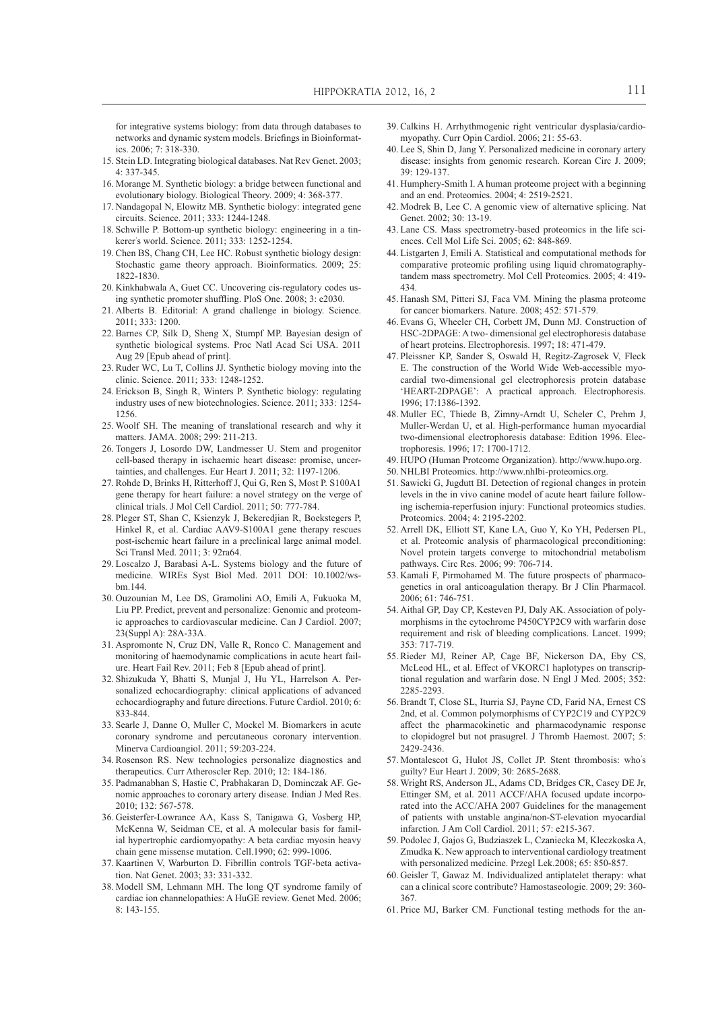for integrative systems biology: from data through databases to networks and dynamic system models. Briefings in Bioinformatics. 2006; 7: 318-330.

- 15. Stein LD. Integrating biological databases. Nat Rev Genet. 2003; 4: 337-345.
- 16. Morange M. Synthetic biology: a bridge between functional and evolutionary biology. Biological Theory. 2009; 4: 368-377.
- 17. Nandagopal N, Elowitz MB. Synthetic biology: integrated gene circuits. Science. 2011; 333: 1244-1248.
- 18. Schwille P. Bottom-up synthetic biology: engineering in a tinkerer' s world. Science. 2011; 333: 1252-1254.
- 19. Chen BS, Chang CH, Lee HC. Robust synthetic biology design: Stochastic game theory approach. Bioinformatics. 2009; 25: 1822-1830.
- 20. Kinkhabwala A, Guet CC. Uncovering cis-regulatory codes using synthetic promoter shuffling. PloS One. 2008; 3: e2030.
- 21. Alberts B. Editorial: A grand challenge in biology. Science. 2011; 333: 1200.
- 22. Barnes CP, Silk D, Sheng X, Stumpf MP. Bayesian design of synthetic biological systems. Proc Natl Acad Sci USA. 2011 Aug 29 [Epub ahead of print].
- 23. Ruder WC, Lu T, Collins JJ. Synthetic biology moving into the clinic. Science. 2011; 333: 1248-1252.
- 24. Erickson B, Singh R, Winters P. Synthetic biology: regulating industry uses of new biotechnologies. Science. 2011; 333: 1254- 1256.
- 25. Woolf SH. The meaning of translational research and why it matters. JAMA. 2008; 299: 211-213.
- 26. Tongers J, Losordo DW, Landmesser U. Stem and progenitor cell-based therapy in ischaemic heart disease: promise, uncertainties, and challenges. Eur Heart J. 2011; 32: 1197-1206.
- 27. Rohde D, Brinks H, Ritterhoff J, Qui G, Ren S, Most P. S100A1 gene therapy for heart failure: a novel strategy on the verge of clinical trials. J Mol Cell Cardiol. 2011; 50: 777-784.
- 28. Pleger ST, Shan C, Ksienzyk J, Bekeredjian R, Boekstegers P, Hinkel R, et al. Cardiac AAV9-S100A1 gene therapy rescues post-ischemic heart failure in a preclinical large animal model. Sci Transl Med. 2011; 3: 92ra64.
- 29. Loscalzo J, Barabasi A-L. Systems biology and the future of medicine. WIREs Syst Biol Med. 2011 DOI: 10.1002/wsbm.144.
- 30. Ouzounian M, Lee DS, Gramolini AO, Emili A, Fukuoka M, Liu PP. Predict, prevent and personalize: Genomic and proteomic approaches to cardiovascular medicine. Can J Cardiol. 2007; 23(Suppl A): 28A-33A.
- 31. Aspromonte N, Cruz DN, Valle R, Ronco C. Management and monitoring of haemodynamic complications in acute heart failure. Heart Fail Rev. 2011; Feb 8 [Epub ahead of print].
- 32. Shizukuda Y, Bhatti S, Munjal J, Hu YL, Harrelson A. Personalized echocardiography: clinical applications of advanced echocardiography and future directions. Future Cardiol. 2010; 6: 833-844.
- 33. Searle J, Danne O, Muller C, Mockel M. Biomarkers in acute coronary syndrome and percutaneous coronary intervention. Minerva Cardioangiol. 2011; 59:203-224.
- 34. Rosenson RS. New technologies personalize diagnostics and therapeutics. Curr Atheroscler Rep. 2010; 12: 184-186.
- 35. Padmanabhan S, Hastie C, Prabhakaran D, Dominczak AF. Genomic approaches to coronary artery disease. Indian J Med Res. 2010; 132: 567-578.
- 36. Geisterfer-Lowrance AA, Kass S, Tanigawa G, Vosberg HP, McKenna W, Seidman CE, et al. A molecular basis for familial hypertrophic cardiomyopathy: A beta cardiac myosin heavy chain gene missense mutation. Cell.1990; 62: 999-1006.
- 37. Kaartinen V, Warburton D. Fibrillin controls TGF-beta activation. Nat Genet. 2003; 33: 331-332.
- 38. Modell SM, Lehmann MH. The long QT syndrome family of cardiac ion channelopathies: A HuGE review. Genet Med. 2006; 8: 143-155.
- 39. Calkins H. Arrhythmogenic right ventricular dysplasia/cardiomyopathy. Curr Opin Cardiol. 2006; 21: 55-63.
- 40. Lee S, Shin D, Jang Y. Personalized medicine in coronary artery disease: insights from genomic research. Korean Circ J. 2009; 39: 129-137.
- 41. Humphery-Smith I. A human proteome project with a beginning and an end. Proteomics. 2004; 4: 2519-2521.
- 42. Modrek B, Lee C. A genomic view of alternative splicing. Nat Genet. 2002; 30: 13-19.
- 43. Lane CS. Mass spectrometry-based proteomics in the life sciences. Cell Mol Life Sci. 2005; 62: 848-869.
- 44. Listgarten J, Emili A. Statistical and computational methods for comparative proteomic profiling using liquid chromatographytandem mass spectrometry. Mol Cell Proteomics. 2005; 4: 419- 434.
- 45. Hanash SM, Pitteri SJ, Faca VM. Mining the plasma proteome for cancer biomarkers. Nature. 2008; 452: 571-579.
- 46. Evans G, Wheeler CH, Corbett JM, Dunn MJ. Construction of HSC-2DPAGE: A two- dimensional gel electrophoresis database of heart proteins. Electrophoresis. 1997; 18: 471-479.
- 47. Pleissner KP, Sander S, Oswald H, Regitz-Zagrosek V, Fleck E. The construction of the World Wide Web-accessible myocardial two-dimensional gel electrophoresis protein database 'HEART-2DPAGE': A practical approach. Electrophoresis. 1996; 17:1386-1392.
- 48. Muller EC, Thiede B, Zimny-Arndt U, Scheler C, Prehm J, Muller-Werdan U, et al. High-performance human myocardial two-dimensional electrophoresis database: Edition 1996. Electrophoresis. 1996; 17: 1700-1712.
- 49. HUPO (Human Proteome Organization). http://www.hupo.org.
- 50. NHLBI Proteomics. http://www.nhlbi-proteomics.org.
- 51. Sawicki G, Jugdutt BI. Detection of regional changes in protein levels in the in vivo canine model of acute heart failure following ischemia-reperfusion injury: Functional proteomics studies. Proteomics. 2004; 4: 2195-2202.
- 52. Arrell DK, Elliott ST, Kane LA, Guo Y, Ko YH, Pedersen PL, et al. Proteomic analysis of pharmacological preconditioning: Novel protein targets converge to mitochondrial metabolism pathways. Circ Res. 2006; 99: 706-714.
- 53. Kamali F, Pirmohamed M. The future prospects of pharmacogenetics in oral anticoagulation therapy. Br J Clin Pharmacol. 2006; 61: 746-751.
- 54. Aithal GP, Day CP, Kesteven PJ, Daly AK. Association of polymorphisms in the cytochrome P450CYP2C9 with warfarin dose requirement and risk of bleeding complications. Lancet. 1999; 353: 717-719.
- 55. Rieder MJ, Reiner AP, Cage BF, Nickerson DA, Eby CS, McLeod HL, et al. Effect of VKORC1 haplotypes on transcriptional regulation and warfarin dose. N Engl J Med. 2005; 352: 2285-2293.
- 56. Brandt T, Close SL, Iturria SJ, Payne CD, Farid NA, Ernest CS 2nd, et al. Common polymorphisms of CYP2C19 and CYP2C9 affect the pharmacokinetic and pharmacodynamic response to clopidogrel but not prasugrel. J Thromb Haemost. 2007; 5: 2429-2436.
- 57. Montalescot G, Hulot JS, Collet JP. Stent thrombosis: who' s guilty? Eur Heart J. 2009; 30: 2685-2688.
- 58. Wright RS, Anderson JL, Adams CD, Bridges CR, Casey DE Jr, Ettinger SM, et al. 2011 ACCF/AHA focused update incorporated into the ACC/AHA 2007 Guidelines for the management of patients with unstable angina/non-ST-elevation myocardial infarction. J Am Coll Cardiol. 2011; 57: e215-367.
- 59. Podolec J, Gajos G, Budziaszek L, Czaniecka M, Kleczkoska A, Zmudka K. New approach to interventional cardiology treatment with personalized medicine. Przegl Lek.2008; 65: 850-857.
- 60. Geisler T, Gawaz M. Individualized antiplatelet therapy: what can a clinical score contribute? Hamostaseologie. 2009; 29: 360- 367.
- 61. Price MJ, Barker CM. Functional testing methods for the an-